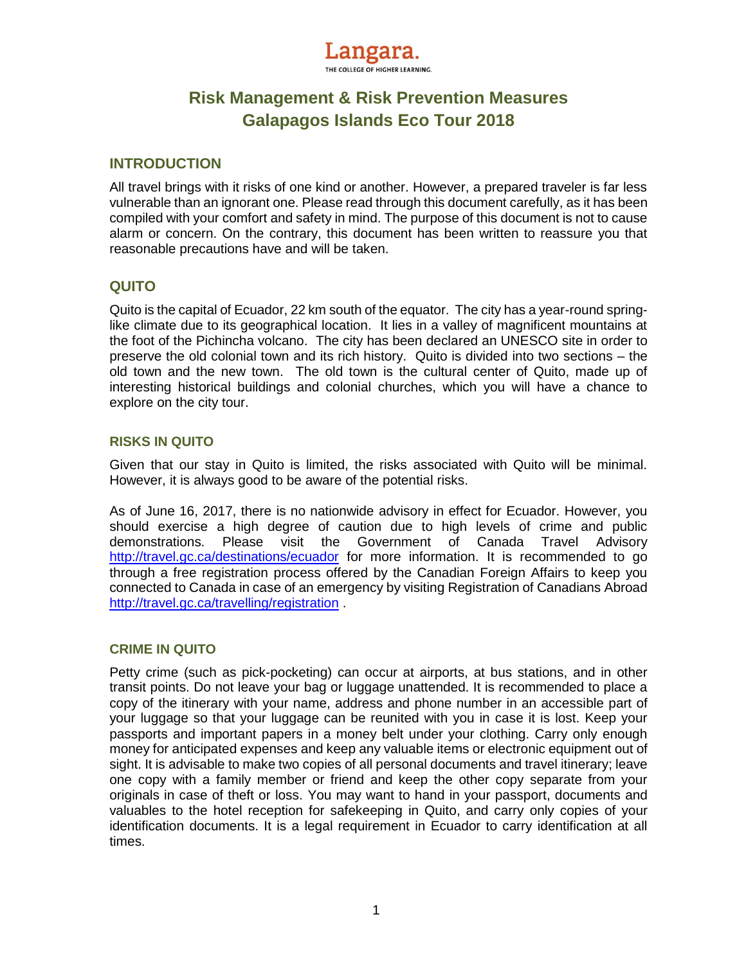

# **Risk Management & Risk Prevention Measures Galapagos Islands Eco Tour 2018**

## **INTRODUCTION**

All travel brings with it risks of one kind or another. However, a prepared traveler is far less vulnerable than an ignorant one. Please read through this document carefully, as it has been compiled with your comfort and safety in mind. The purpose of this document is not to cause alarm or concern. On the contrary, this document has been written to reassure you that reasonable precautions have and will be taken.

# **QUITO**

Quito is the capital of Ecuador, 22 km south of the equator. The city has a year-round springlike climate due to its geographical location. It lies in a valley of magnificent mountains at the foot of the Pichincha volcano. The city has been declared an UNESCO site in order to preserve the old colonial town and its rich history. Quito is divided into two sections – the old town and the new town. The old town is the cultural center of Quito, made up of interesting historical buildings and colonial churches, which you will have a chance to explore on the city tour.

# **RISKS IN QUITO**

Given that our stay in Quito is limited, the risks associated with Quito will be minimal. However, it is always good to be aware of the potential risks.

As of June 16, 2017, there is no nationwide advisory in effect for Ecuador. However, you should exercise a high degree of caution due to high levels of crime and public demonstrations. Please visit the Government of Canada Travel Advisory <http://travel.gc.ca/destinations/ecuador> for more information. It is recommended to go through a free registration process offered by the Canadian Foreign Affairs to keep you connected to Canada in case of an emergency by visiting Registration of Canadians Abroad <http://travel.gc.ca/travelling/registration> .

## **CRIME IN QUITO**

Petty crime (such as pick-pocketing) can occur at airports, at bus stations, and in other transit points. Do not leave your bag or luggage unattended. It is recommended to place a copy of the itinerary with your name, address and phone number in an accessible part of your luggage so that your luggage can be reunited with you in case it is lost. Keep your passports and important papers in a money belt under your clothing. Carry only enough money for anticipated expenses and keep any valuable items or electronic equipment out of sight. It is advisable to make two copies of all personal documents and travel itinerary; leave one copy with a family member or friend and keep the other copy separate from your originals in case of theft or loss. You may want to hand in your passport, documents and valuables to the hotel reception for safekeeping in Quito, and carry only copies of your identification documents. It is a legal requirement in Ecuador to carry identification at all times.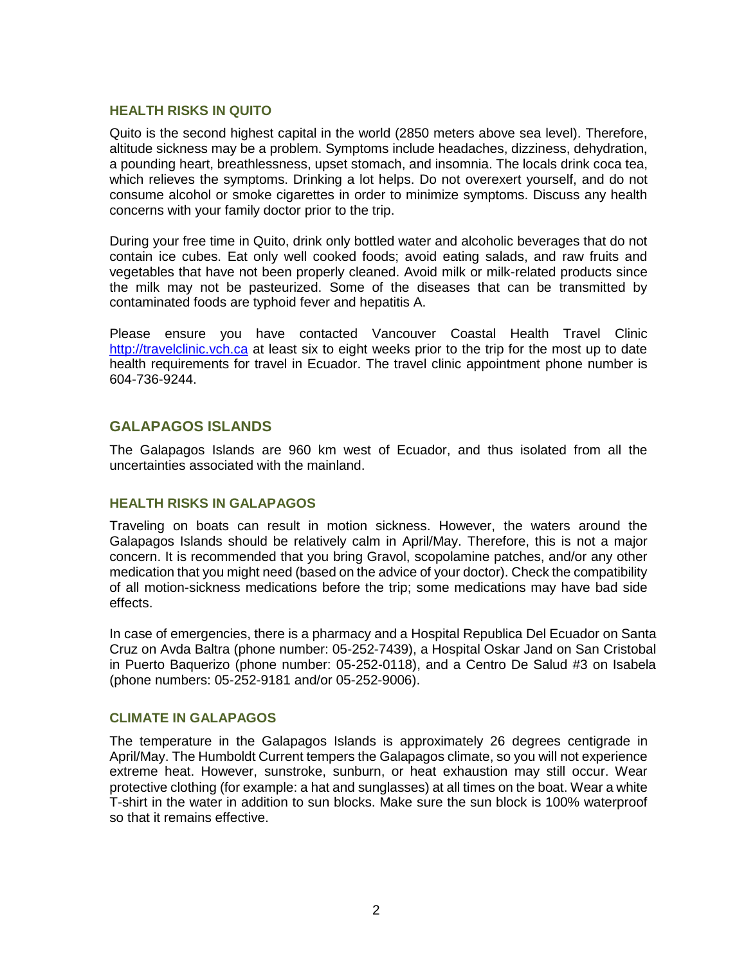### **HEALTH RISKS IN QUITO**

Quito is the second highest capital in the world (2850 meters above sea level). Therefore, altitude sickness may be a problem. Symptoms include headaches, dizziness, dehydration, a pounding heart, breathlessness, upset stomach, and insomnia. The locals drink coca tea, which relieves the symptoms. Drinking a lot helps. Do not overexert yourself, and do not consume alcohol or smoke cigarettes in order to minimize symptoms. Discuss any health concerns with your family doctor prior to the trip.

During your free time in Quito, drink only bottled water and alcoholic beverages that do not contain ice cubes. Eat only well cooked foods; avoid eating salads, and raw fruits and vegetables that have not been properly cleaned. Avoid milk or milk-related products since the milk may not be pasteurized. Some of the diseases that can be transmitted by contaminated foods are typhoid fever and hepatitis A.

Please ensure you have contacted Vancouver Coastal Health Travel Clinic [http://travelclinic.vch.ca](http://travelclinic.vch.ca/) at least six to eight weeks prior to the trip for the most up to date health requirements for travel in Ecuador. The travel clinic appointment phone number is 604-736-9244.

## **GALAPAGOS ISLANDS**

The Galapagos Islands are 960 km west of Ecuador, and thus isolated from all the uncertainties associated with the mainland.

#### **HEALTH RISKS IN GALAPAGOS**

Traveling on boats can result in motion sickness. However, the waters around the Galapagos Islands should be relatively calm in April/May. Therefore, this is not a major concern. It is recommended that you bring Gravol, scopolamine patches, and/or any other medication that you might need (based on the advice of your doctor). Check the compatibility of all motion-sickness medications before the trip; some medications may have bad side effects.

In case of emergencies, there is a pharmacy and a Hospital Republica Del Ecuador on Santa Cruz on Avda Baltra (phone number: 05-252-7439), a Hospital Oskar Jand on San Cristobal in Puerto Baquerizo (phone number: 05-252-0118), and a Centro De Salud #3 on Isabela (phone numbers: 05-252-9181 and/or 05-252-9006).

#### **CLIMATE IN GALAPAGOS**

The temperature in the Galapagos Islands is approximately 26 degrees centigrade in April/May. The Humboldt Current tempers the Galapagos climate, so you will not experience extreme heat. However, sunstroke, sunburn, or heat exhaustion may still occur. Wear protective clothing (for example: a hat and sunglasses) at all times on the boat. Wear a white T-shirt in the water in addition to sun blocks. Make sure the sun block is 100% waterproof so that it remains effective.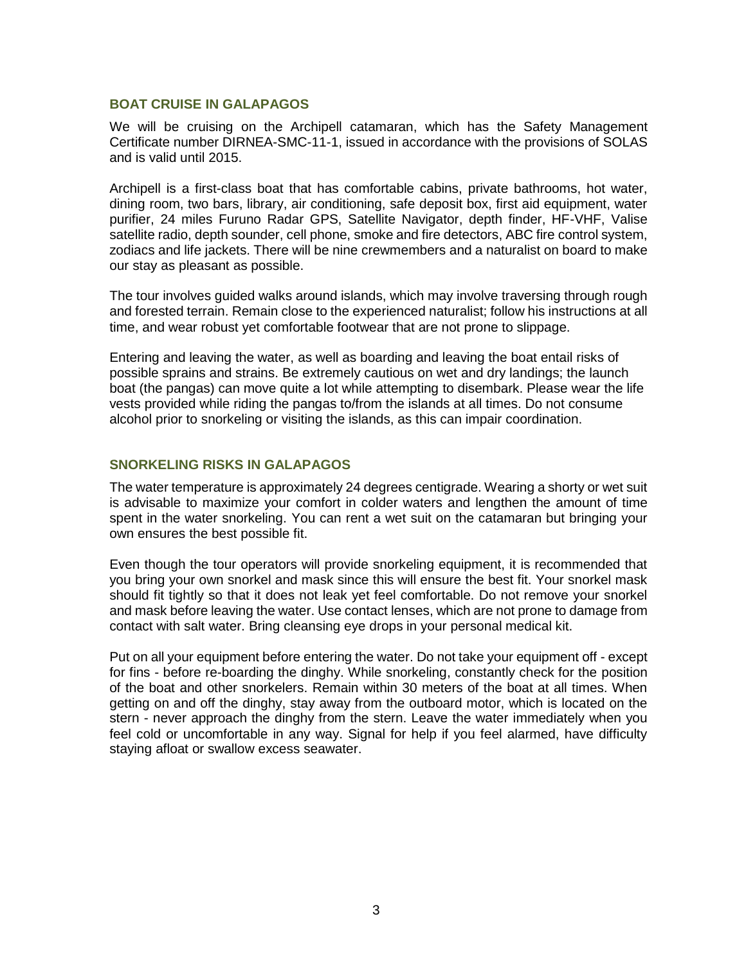#### **BOAT CRUISE IN GALAPAGOS**

We will be cruising on the Archipell catamaran, which has the Safety Management Certificate number DIRNEA-SMC-11-1, issued in accordance with the provisions of SOLAS and is valid until 2015.

Archipell is a first-class boat that has comfortable cabins, private bathrooms, hot water, dining room, two bars, library, air conditioning, safe deposit box, first aid equipment, water purifier, 24 miles Furuno Radar GPS, Satellite Navigator, depth finder, HF-VHF, Valise satellite radio, depth sounder, cell phone, smoke and fire detectors, ABC fire control system, zodiacs and life jackets. There will be nine crewmembers and a naturalist on board to make our stay as pleasant as possible.

The tour involves guided walks around islands, which may involve traversing through rough and forested terrain. Remain close to the experienced naturalist; follow his instructions at all time, and wear robust yet comfortable footwear that are not prone to slippage.

Entering and leaving the water, as well as boarding and leaving the boat entail risks of possible sprains and strains. Be extremely cautious on wet and dry landings; the launch boat (the pangas) can move quite a lot while attempting to disembark. Please wear the life vests provided while riding the pangas to/from the islands at all times. Do not consume alcohol prior to snorkeling or visiting the islands, as this can impair coordination.

## **SNORKELING RISKS IN GALAPAGOS**

The water temperature is approximately 24 degrees centigrade. Wearing a shorty or wet suit is advisable to maximize your comfort in colder waters and lengthen the amount of time spent in the water snorkeling. You can rent a wet suit on the catamaran but bringing your own ensures the best possible fit.

Even though the tour operators will provide snorkeling equipment, it is recommended that you bring your own snorkel and mask since this will ensure the best fit. Your snorkel mask should fit tightly so that it does not leak yet feel comfortable. Do not remove your snorkel and mask before leaving the water. Use contact lenses, which are not prone to damage from contact with salt water. Bring cleansing eye drops in your personal medical kit.

Put on all your equipment before entering the water. Do not take your equipment off - except for fins - before re-boarding the dinghy. While snorkeling, constantly check for the position of the boat and other snorkelers. Remain within 30 meters of the boat at all times. When getting on and off the dinghy, stay away from the outboard motor, which is located on the stern - never approach the dinghy from the stern. Leave the water immediately when you feel cold or uncomfortable in any way. Signal for help if you feel alarmed, have difficulty staying afloat or swallow excess seawater.